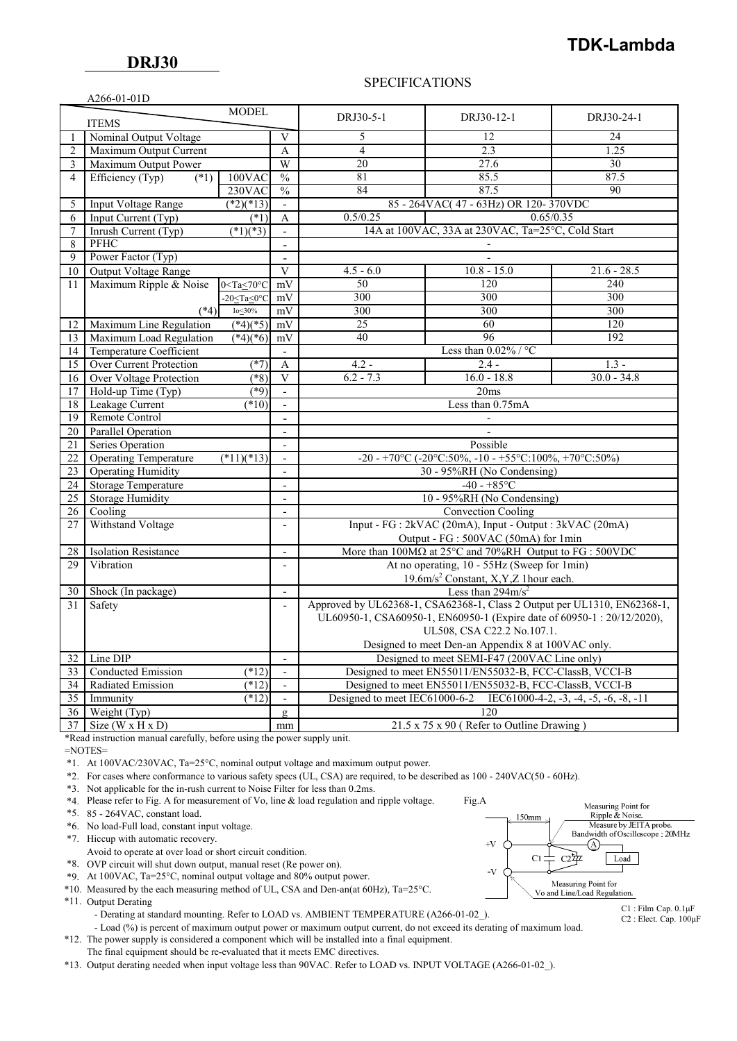## SPECIFICATIONS

|                 | A266-01-01D                  |                         |                          |                |                                                                                 |                 |
|-----------------|------------------------------|-------------------------|--------------------------|----------------|---------------------------------------------------------------------------------|-----------------|
|                 |                              | <b>MODEL</b>            |                          |                |                                                                                 |                 |
|                 | <b>ITEMS</b>                 |                         |                          | DRJ30-5-1      | DRJ30-12-1                                                                      | DRJ30-24-1      |
|                 | Nominal Output Voltage       |                         | V                        | 5              | 12                                                                              | 24              |
| $\overline{c}$  | Maximum Output Current       |                         | A                        | $\overline{4}$ | 2.3                                                                             | 1.25            |
| 3               | Maximum Output Power         |                         | W                        | 20             | 27.6                                                                            | 30              |
| $\overline{4}$  | Efficiency (Typ)<br>$(*1)$   | 100VAC                  | $\frac{0}{0}$            | 81             | 85.5                                                                            | 87.5            |
|                 |                              | 230VAC                  | $\frac{0}{0}$            | 84             | 87.5                                                                            | $\overline{90}$ |
| 5               | <b>Input Voltage Range</b>   | $(*2)(*13)$             | $\blacksquare$           |                | 85 - 264VAC(47 - 63Hz) OR 120-370VDC                                            |                 |
| 6               | Input Current (Typ)          | $(*1)$                  | A                        | 0.5/0.25       |                                                                                 | 0.65/0.35       |
| $\overline{7}$  | Inrush Current (Typ)         | $\sqrt{(*1)(*3)}$       | $\sim$                   |                | 14A at 100VAC, 33A at 230VAC, Ta=25°C, Cold Start                               |                 |
| 8               | PFHC                         |                         | $\overline{a}$           |                |                                                                                 |                 |
| 9               | Power Factor (Typ)           |                         | $\blacksquare$           |                |                                                                                 |                 |
| 10              | Output Voltage Range         |                         | $\overline{\mathbf{V}}$  | $4.5 - 6.0$    | $10.8 - 15.0$                                                                   | $21.6 - 28.5$   |
| 11              | Maximum Ripple & Noise       | $0 <$ Ta $\leq 70$ °C   | mV                       | 50             | 120                                                                             | 240             |
|                 |                              | $-20 \leq Ta \leq 0$ °C | mV                       | 300            | 300                                                                             | 300             |
|                 | $(*4)$                       | Io<30%                  | mV                       | 300            | $\frac{300}{2}$                                                                 | $\frac{300}{2}$ |
| 12              | Maximum Line Regulation      | $(*4)(*5)$              | mV                       | 25             | 60                                                                              | 120             |
| 13              | Maximum Load Regulation      | $(*4)(*6)$              | mV                       | 40             | 96                                                                              | 192             |
| 14              | Temperature Coefficient      |                         | $\mathbf{r}$             |                | Less than $0.02\%$ / °C                                                         |                 |
| 15              | Over Current Protection      | $(*7)$                  | A                        | $4.2 -$        | $2.4 -$                                                                         | $1.3 -$         |
| 16              | Over Voltage Protection      | $(*8)$                  | V                        | $6.2 - 7.3$    | $16.0 - 18.8$                                                                   | $30.0 - 34.8$   |
| 17              | Hold-up Time (Typ)           | $(*9)$                  | $\overline{\phantom{a}}$ |                | 20ms                                                                            |                 |
| 18              | Leakage Current              | $(*10)$                 | $\sim$                   |                | Less than 0.75mA                                                                |                 |
| 19              | Remote Control               |                         | $\sim$                   |                |                                                                                 |                 |
| 20 <sup>1</sup> | Parallel Operation           |                         | $\sim$                   |                |                                                                                 |                 |
| 21              | Series Operation             |                         | $\blacksquare$           |                | Possible                                                                        |                 |
| 22              | <b>Operating Temperature</b> | $(*11)(*13)$            | $\blacksquare$           |                | -20 - +70°C (-20°C:50%, -10 - +55°C:100%, +70°C:50%)                            |                 |
| 23              | <b>Operating Humidity</b>    |                         | $\mathbf{r}$             |                | 30 - 95%RH (No Condensing)                                                      |                 |
| 24              | <b>Storage Temperature</b>   |                         | $\blacksquare$           |                | $-40 - +85$ °C                                                                  |                 |
| 25              | <b>Storage Humidity</b>      |                         | $\sim$                   |                | 10 - 95%RH (No Condensing)                                                      |                 |
| 26              | Cooling                      |                         | $\overline{a}$           |                | <b>Convection Cooling</b>                                                       |                 |
| 27              | Withstand Voltage            |                         | $\blacksquare$           |                | Input - FG : 2kVAC (20mA), Input - Output : 3kVAC (20mA)                        |                 |
|                 |                              |                         |                          |                | Output - FG : 500VAC (50mA) for 1min                                            |                 |
| 28              | <b>Isolation Resistance</b>  |                         | $\overline{\phantom{a}}$ |                | More than $100M\Omega$ at $25^{\circ}$ C and $70\%$ RH Output to FG : $500$ VDC |                 |
| 29              | Vibration                    |                         | $\overline{a}$           |                | At no operating, 10 - 55Hz (Sweep for 1min)                                     |                 |
|                 |                              |                         |                          |                | 19.6m/s <sup>2</sup> Constant, X,Y,Z 1hour each.                                |                 |
| 30              | Shock (In package)           |                         | $\mathbf{r}$             |                | Less than $294 \text{m/s}^2$                                                    |                 |
| 31              | Safety                       |                         | $\overline{\phantom{a}}$ |                | Approved by UL62368-1, CSA62368-1, Class 2 Output per UL1310, EN62368-1,        |                 |
|                 |                              |                         |                          |                | UL60950-1, CSA60950-1, EN60950-1 (Expire date of 60950-1: 20/12/2020),          |                 |
|                 |                              |                         |                          |                | UL508, CSA C22.2 No.107.1.                                                      |                 |
|                 |                              |                         |                          |                | Designed to meet Den-an Appendix 8 at 100VAC only.                              |                 |
| 32 <sup>1</sup> | Line DIP                     |                         | $\blacksquare$           |                | Designed to meet SEMI-F47 (200VAC Line only)                                    |                 |
| 33              | <b>Conducted Emission</b>    | $(*12)$                 | $\overline{a}$           |                | Designed to meet EN55011/EN55032-B, FCC-ClassB, VCCI-B                          |                 |
| 34              | Radiated Emission            | $(*12)$                 | $\blacksquare$           |                | Designed to meet EN55011/EN55032-B, FCC-ClassB, VCCI-B                          |                 |
| 35              | Immunity                     | $(*12)$                 | $\blacksquare$           |                | Designed to meet IEC61000-6-2 IEC61000-4-2, -3, -4, -5, -6, -8, -11             |                 |
| 36 <sup>1</sup> | Weight (Typ)                 |                         | $\mathbf{g}$             |                | 120                                                                             |                 |
|                 | $37$ Size (W x H x D)        |                         | mm                       |                | 21.5 x 75 x 90 (Refer to Outline Drawing)                                       |                 |

\*Read instruction manual carefully, before using the power supply unit.

=NOTES=

\*1. At 100VAC/230VAC, Ta=25°C, nominal output voltage and maximum output power.

\*2. For cases where conformance to various safety specs (UL, CSA) are required, to be described as 100 - 240VAC(50 - 60Hz).

\*3. Not applicable for the in-rush current to Noise Filter for less than 0.2ms.

\*4. Please refer to Fig. A for measurement of Vo, line & load regulation and ripple voltage. Fig.A

\*5. 85 - 264VAC, constant load.

\*6. No load-Full load, constant input voltage.

\*7. Hiccup with automatic recovery.

Avoid to operate at over load or short circuit condition.

\*8. OVP circuit will shut down output, manual reset (Re power on).

\*9. At 100VAC, Ta=25°C, nominal output voltage and 80% output power.

\*10. Measured by the each measuring method of UL, CSA and Den-an(at 60Hz), Ta=25°C.

\*11. Output Derating

- Derating at standard mounting. Refer to LOAD vs. AMBIENT TEMPERATURE (A266-01-02).

- Load (%) is percent of maximum output power or maximum output current, do not exceed its derating of maximum load.

 \*12. The power supply is considered a component which will be installed into a final equipment. The final equipment should be re-evaluated that it meets EMC directives.

\*13. Output derating needed when input voltage less than 90VAC. Refer to LOAD vs. INPUT VOLTAGE (A266-01-02\_).



C2 : Elect. Cap. 100μF